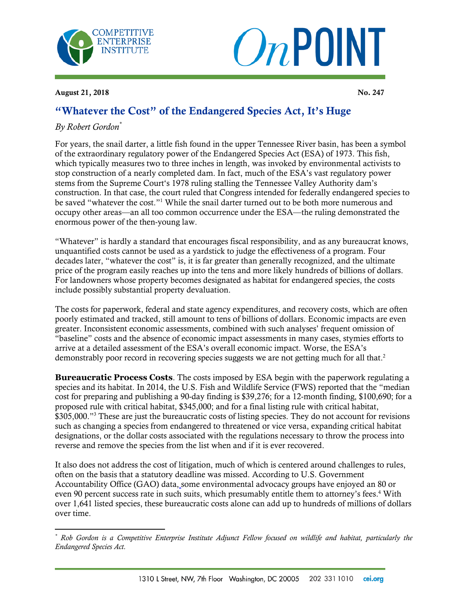



August 21, 2018  $\sqrt{a}$   $\sqrt{a}$   $\sqrt{a}$   $\sqrt{a}$   $\sqrt{a}$   $\sqrt{a}$   $\sqrt{a}$   $\sqrt{a}$   $\sqrt{a}$   $\sqrt{a}$   $\sqrt{a}$   $\sqrt{a}$   $\sqrt{a}$   $\sqrt{a}$   $\sqrt{a}$   $\sqrt{a}$   $\sqrt{a}$   $\sqrt{a}$   $\sqrt{a}$   $\sqrt{a}$   $\sqrt{a}$   $\sqrt{a}$   $\sqrt{a}$   $\sqrt{a}$   $\sqrt{a}$   $\sqrt{a$ 

## "Whatever the Cost" of the Endangered Species Act, It's Huge

## *By Robert Gordon\**

For years, the snail darter, a little fish found in the upper Tennessee River basin, has been a symbol of the extraordinary regulatory power of the Endangered Species Act (ESA) of 1973. This fish, which typically measures two to three inches in length, was invoked by environmental activists to stop construction of a nearly completed dam. In fact, much of the ESA's vast regulatory power stems from the Supreme Court's 1978 ruling stalling the Tennessee Valley Authority dam's construction. In that case, the court ruled that Congress intended for federally endangered species to be saved "whatever the cost."<sup>1</sup> While the snail darter turned out to be both more numerous and occupy other areas—an all too common occurrence under the ESA—the ruling demonstrated the enormous power of the then-young law.

"Whatever" is hardly a standard that encourages fiscal responsibility, and as any bureaucrat knows, unquantified costs cannot be used as a yardstick to judge the effectiveness of a program. Four decades later, "whatever the cost" is, it is far greater than generally recognized, and the ultimate price of the program easily reaches up into the tens and more likely hundreds of billions of dollars. For landowners whose property becomes designated as habitat for endangered species, the costs include possibly substantial property devaluation.

The costs for paperwork, federal and state agency expenditures, and recovery costs, which are often poorly estimated and tracked, still amount to tens of billions of dollars. Economic impacts are even greater. Inconsistent economic assessments, combined with such analyses' frequent omission of "baseline" costs and the absence of economic impact assessments in many cases, stymies efforts to arrive at a detailed assessment of the ESA's overall economic impact. Worse, the ESA's demonstrably poor record in recovering species suggests we are not getting much for all that.<sup>2</sup>

**Bureaucratic Process Costs**. The costs imposed by ESA begin with the paperwork regulating a species and its habitat. In 2014, the U.S. Fish and Wildlife Service (FWS) reported that the "median cost for preparing and publishing a 90-day finding is \$39,276; for a 12-month finding, \$100,690; for a proposed rule with critical habitat, \$345,000; and for a final listing rule with critical habitat, \$305,000."<sup>3</sup> These are just the bureaucratic costs of listing species. They do not account for revisions such as changing a species from endangered to threatened or vice versa, expanding critical habitat designations, or the dollar costs associated with the regulations necessary to throw the process into reverse and remove the species from the list when and if it is ever recovered.

It also does not address the cost of litigation, much of which is centered around challenges to rules, often on the basis that a statutory deadline was missed. According to U.S. Government Accountability Office (GAO) data, some environmental advocacy groups have enjoyed an 80 or even 90 percent success rate in such suits, which presumably entitle them to attorney's fees.<sup>4</sup> With over 1,641 listed species, these bureaucratic costs alone can add up to hundreds of millions of dollars over time.

 $\overline{a}$ *\* Rob Gordon is a Competitive Enterprise Institute Adjunct Fellow focused on wildlife and habitat, particularly the Endangered Species Act.*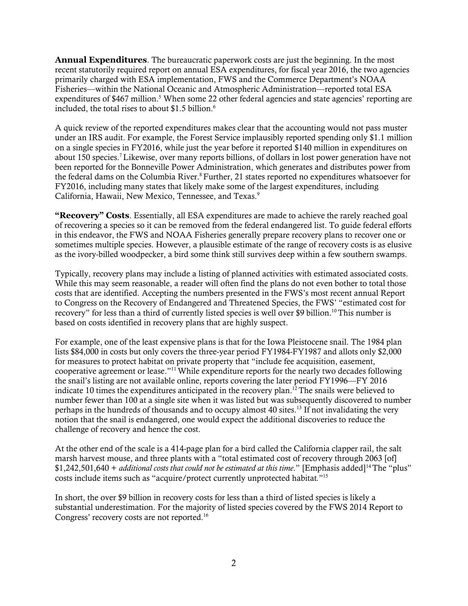**Annual Expenditures**. The bureaucratic paperwork costs are just the beginning. In the most recent statutorily required report on annual ESA expenditures, for fiscal year 2016, the two agencies primarily charged with ESA implementation, FWS and the Commerce Department's NOAA Fisheries—within the National Oceanic and Atmospheric Administration—reported total ESA expenditures of \$467 million.<sup>5</sup> When some 22 other federal agencies and state agencies' reporting are included, the total rises to about \$1.5 billion.<sup>6</sup>

A quick review of the reported expenditures makes clear that the accounting would not pass muster under an IRS audit. For example, the Forest Service implausibly reported spending only \$1.1 million on a single species in FY2016, while just the year before it reported \$140 million in expenditures on about 150 species.<sup>7</sup>Likewise, over many reports billions, of dollars in lost power generation have not been reported for the Bonneville Power Administration, which generates and distributes power from the federal dams on the Columbia River.<sup>8</sup> Further, 21 states reported no expenditures whatsoever for FY2016, including many states that likely make some of the largest expenditures, including California, Hawaii, New Mexico, Tennessee, and Texas.<sup>9</sup>

**"Recovery" Costs**. Essentially, all ESA expenditures are made to achieve the rarely reached goal of recovering a species so it can be removed from the federal endangered list. To guide federal efforts in this endeavor, the FWS and NOAA Fisheries generally prepare recovery plans to recover one or sometimes multiple species. However, a plausible estimate of the range of recovery costs is as elusive as the ivory-billed woodpecker, a bird some think still survives deep within a few southern swamps.

Typically, recovery plans may include a listing of planned activities with estimated associated costs. While this may seem reasonable, a reader will often find the plans do not even bother to total those costs that are identified. Accepting the numbers presented in the FWS's most recent annual Report to Congress on the Recovery of Endangered and Threatened Species, the FWS' "estimated cost for recovery" for less than a third of currently listed species is well over \$9 billion.<sup>10</sup> This number is based on costs identified in recovery plans that are highly suspect.

For example, one of the least expensive plans is that for the Iowa Pleistocene snail. The 1984 plan lists \$84,000 in costs but only covers the three-year period FY1984-FY1987 and allots only \$2,000 for measures to protect habitat on private property that "include fee acquisition, easement, cooperative agreement or lease."<sup>11</sup>While expenditure reports for the nearly two decades following the snail's listing are not available online, reports covering the later period FY1996—FY 2016 indicate 10 times the expenditures anticipated in the recovery plan.<sup>12</sup> The snails were believed to number fewer than 100 at a single site when it was listed but was subsequently discovered to number perhaps in the hundreds of thousands and to occupy almost 40 sites.<sup>13</sup> If not invalidating the very notion that the snail is endangered, one would expect the additional discoveries to reduce the challenge of recovery and hence the cost.

At the other end of the scale is a 414-page plan for a bird called the California clapper rail, the salt marsh harvest mouse, and three plants with a "total estimated cost of recovery through 2063 [of] \$1,242,501,640 + *additional costs that could not be estimated at this time*." [Emphasis added]<sup>14</sup>The "plus" costs include items such as "acquire/protect currently unprotected habitat*.*" 15

In short, the over \$9 billion in recovery costs for less than a third of listed species is likely a substantial underestimation. For the majority of listed species covered by the FWS 2014 Report to Congress' recovery costs are not reported.<sup>16</sup>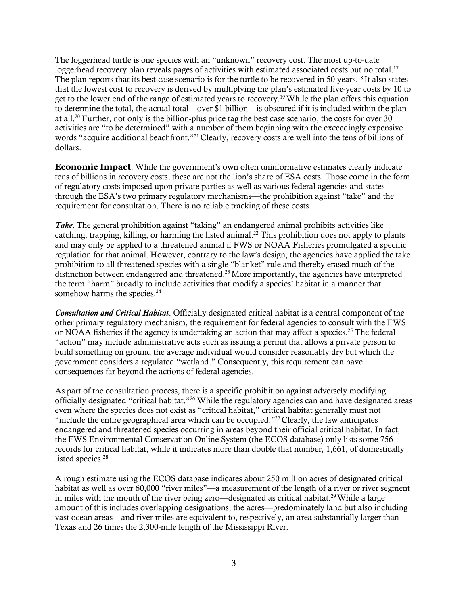The loggerhead turtle is one species with an "unknown" recovery cost. The most up-to-date loggerhead recovery plan reveals pages of activities with estimated associated costs but no total.<sup>17</sup> The plan reports that its best-case scenario is for the turtle to be recovered in 50 years.<sup>18</sup> It also states that the lowest cost to recovery is derived by multiplying the plan's estimated five-year costs by 10 to get to the lower end of the range of estimated years to recovery.<sup>19</sup>While the plan offers this equation to determine the total, the actual total—over \$1 billion—is obscured if it is included within the plan at all. <sup>20</sup> Further, not only is the billion-plus price tag the best case scenario, the costs for over 30 activities are "to be determined" with a number of them beginning with the exceedingly expensive words "acquire additional beachfront."<sup>21</sup> Clearly, recovery costs are well into the tens of billions of dollars.

**Economic Impact**. While the government's own often uninformative estimates clearly indicate tens of billions in recovery costs, these are not the lion's share of ESA costs. Those come in the form of regulatory costs imposed upon private parties as well as various federal agencies and states through the ESA's two primary regulatory mechanisms––the prohibition against "take" and the requirement for consultation. There is no reliable tracking of these costs.

*Take*. The general prohibition against "taking" an endangered animal prohibits activities like catching, trapping, killing, or harming the listed animal.<sup>22</sup> This prohibition does not apply to plants and may only be applied to a threatened animal if FWS or NOAA Fisheries promulgated a specific regulation for that animal. However, contrary to the law's design, the agencies have applied the take prohibition to all threatened species with a single "blanket" rule and thereby erased much of the distinction between endangered and threatened.<sup>23</sup> More importantly, the agencies have interpreted the term "harm" broadly to include activities that modify a species' habitat in a manner that somehow harms the species.<sup>24</sup>

*Consultation and Critical Habitat*. Officially designated critical habitat is a central component of the other primary regulatory mechanism, the requirement for federal agencies to consult with the FWS or NOAA fisheries if the agency is undertaking an action that may affect a species.<sup>25</sup> The federal "action" may include administrative acts such as issuing a permit that allows a private person to build something on ground the average individual would consider reasonably dry but which the government considers a regulated "wetland." Consequently, this requirement can have consequences far beyond the actions of federal agencies.

As part of the consultation process, there is a specific prohibition against adversely modifying officially designated "critical habitat."<sup>26</sup> While the regulatory agencies can and have designated areas even where the species does not exist as "critical habitat," critical habitat generally must not "include the entire geographical area which can be occupied."<sup>27</sup> Clearly, the law anticipates endangered and threatened species occurring in areas beyond their official critical habitat. In fact, the FWS Environmental Conservation Online System (the ECOS database) only lists some 756 records for critical habitat, while it indicates more than double that number, 1,661, of domestically listed species.<sup>28</sup>

A rough estimate using the ECOS database indicates about 250 million acres of designated critical habitat as well as over 60,000 "river miles"—a measurement of the length of a river or river segment in miles with the mouth of the river being zero—designated as critical habitat.<sup>29</sup> While a large amount of this includes overlapping designations, the acres—predominately land but also including vast ocean areas—and river miles are equivalent to, respectively, an area substantially larger than Texas and 26 times the 2,300-mile length of the Mississippi River.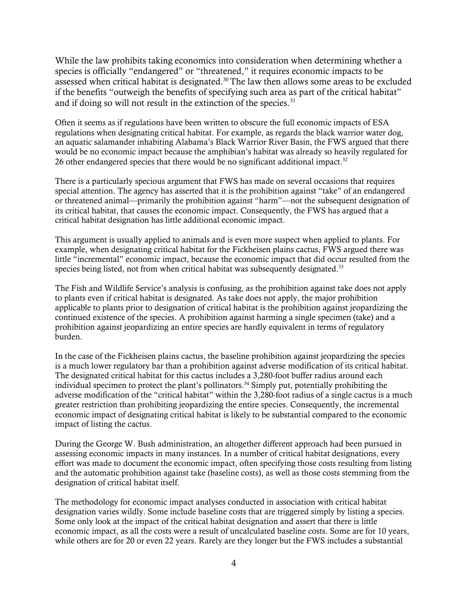While the law prohibits taking economics into consideration when determining whether a species is officially "endangered" or "threatened," it requires economic impacts to be assessed when critical habitat is designated.<sup>30</sup> The law then allows some areas to be excluded if the benefits "outweigh the benefits of specifying such area as part of the critical habitat" and if doing so will not result in the extinction of the species. $31$ 

Often it seems as if regulations have been written to obscure the full economic impacts of ESA regulations when designating critical habitat. For example, as regards the black warrior water dog, an aquatic salamander inhabiting Alabama's Black Warrior River Basin, the FWS argued that there would be no economic impact because the amphibian's habitat was already so heavily regulated for 26 other endangered species that there would be no significant additional impact.<sup>32</sup>

There is a particularly specious argument that FWS has made on several occasions that requires special attention. The agency has asserted that it is the prohibition against "take" of an endangered or threatened animal—primarily the prohibition against "harm"—not the subsequent designation of its critical habitat, that causes the economic impact. Consequently, the FWS has argued that a critical habitat designation has little additional economic impact.

This argument is usually applied to animals and is even more suspect when applied to plants. For example, when designating critical habitat for the Fickheisen plains cactus, FWS argued there was little "incremental" economic impact, because the economic impact that did occur resulted from the species being listed, not from when critical habitat was subsequently designated.<sup>33</sup>

The Fish and Wildlife Service's analysis is confusing, as the prohibition against take does not apply to plants even if critical habitat is designated. As take does not apply, the major prohibition applicable to plants prior to designation of critical habitat is the prohibition against jeopardizing the continued existence of the species. A prohibition against harming a single specimen (take) and a prohibition against jeopardizing an entire species are hardly equivalent in terms of regulatory burden.

In the case of the Fickheisen plains cactus, the baseline prohibition against jeopardizing the species is a much lower regulatory bar than a prohibition against adverse modification of its critical habitat. The designated critical habitat for this cactus includes a 3,280-foot buffer radius around each individual specimen to protect the plant's pollinators.<sup>34</sup> Simply put, potentially prohibiting the adverse modification of the "critical habitat" within the 3,280-foot radius of a single cactus is a much greater restriction than prohibiting jeopardizing the entire species. Consequently, the incremental economic impact of designating critical habitat is likely to be substantial compared to the economic impact of listing the cactus.

During the George W. Bush administration, an altogether different approach had been pursued in assessing economic impacts in many instances. In a number of critical habitat designations, every effort was made to document the economic impact, often specifying those costs resulting from listing and the automatic prohibition against take (baseline costs), as well as those costs stemming from the designation of critical habitat itself.

The methodology for economic impact analyses conducted in association with critical habitat designation varies wildly. Some include baseline costs that are triggered simply by listing a species. Some only look at the impact of the critical habitat designation and assert that there is little economic impact, as all the costs were a result of uncalculated baseline costs. Some are for 10 years, while others are for 20 or even 22 years. Rarely are they longer but the FWS includes a substantial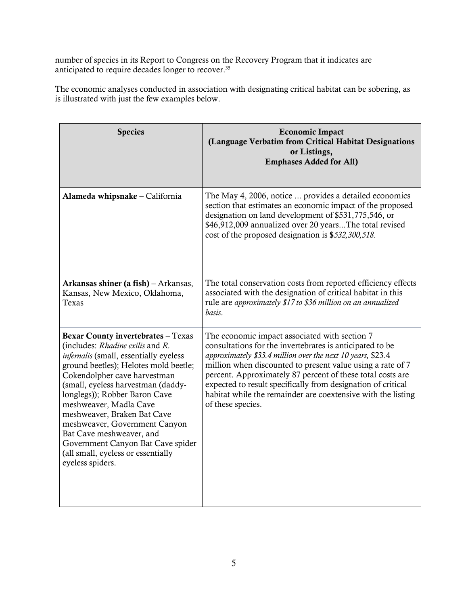number of species in its Report to Congress on the Recovery Program that it indicates are anticipated to require decades longer to recover.<sup>35</sup>

The economic analyses conducted in association with designating critical habitat can be sobering, as is illustrated with just the few examples below.

| <b>Species</b>                                                                                                                                                                                                                                                                                                                                                                                                                                                                               | <b>Economic Impact</b><br>(Language Verbatim from Critical Habitat Designations<br>or Listings,<br><b>Emphases Added for All)</b>                                                                                                                                                                                                                                                                                                                         |
|----------------------------------------------------------------------------------------------------------------------------------------------------------------------------------------------------------------------------------------------------------------------------------------------------------------------------------------------------------------------------------------------------------------------------------------------------------------------------------------------|-----------------------------------------------------------------------------------------------------------------------------------------------------------------------------------------------------------------------------------------------------------------------------------------------------------------------------------------------------------------------------------------------------------------------------------------------------------|
| Alameda whipsnake - California                                                                                                                                                                                                                                                                                                                                                                                                                                                               | The May 4, 2006, notice  provides a detailed economics<br>section that estimates an economic impact of the proposed<br>designation on land development of \$531,775,546, or<br>\$46,912,009 annualized over 20 yearsThe total revised<br>cost of the proposed designation is \$532,300,518.                                                                                                                                                               |
| Arkansas shiner (a fish) – Arkansas,<br>Kansas, New Mexico, Oklahoma,<br>Texas                                                                                                                                                                                                                                                                                                                                                                                                               | The total conservation costs from reported efficiency effects<br>associated with the designation of critical habitat in this<br>rule are approximately \$17 to \$36 million on an annualized<br>basis.                                                                                                                                                                                                                                                    |
| <b>Bexar County invertebrates - Texas</b><br>(includes: Rhadine exilis and R.<br>infernalis (small, essentially eyeless<br>ground beetles); Helotes mold beetle;<br>Cokendolpher cave harvestman<br>(small, eyeless harvestman (daddy-<br>longlegs)); Robber Baron Cave<br>meshweaver, Madla Cave<br>meshweaver, Braken Bat Cave<br>meshweaver, Government Canyon<br>Bat Cave meshweaver, and<br>Government Canyon Bat Cave spider<br>(all small, eyeless or essentially<br>eyeless spiders. | The economic impact associated with section 7<br>consultations for the invertebrates is anticipated to be<br>approximately \$33.4 million over the next 10 years, \$23.4<br>million when discounted to present value using a rate of 7<br>percent. Approximately 87 percent of these total costs are<br>expected to result specifically from designation of critical<br>habitat while the remainder are coextensive with the listing<br>of these species. |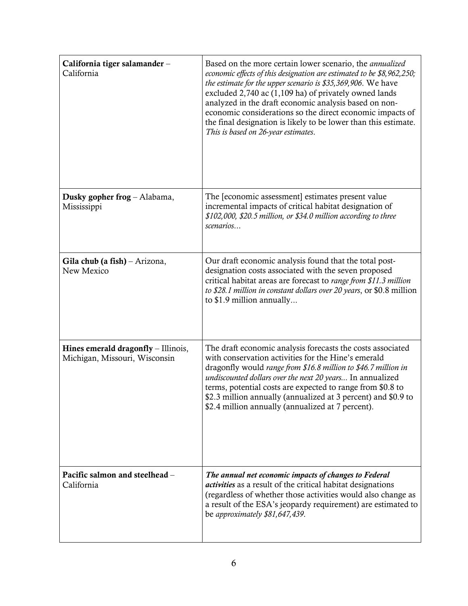| California tiger salamander-<br>California                           | Based on the more certain lower scenario, the <i>annualized</i><br>economic effects of this designation are estimated to be \$8,962,250;<br>the estimate for the upper scenario is \$35,369,906. We have<br>excluded 2,740 ac (1,109 ha) of privately owned lands<br>analyzed in the draft economic analysis based on non-<br>economic considerations so the direct economic impacts of<br>the final designation is likely to be lower than this estimate.<br>This is based on 26-year estimates. |
|----------------------------------------------------------------------|---------------------------------------------------------------------------------------------------------------------------------------------------------------------------------------------------------------------------------------------------------------------------------------------------------------------------------------------------------------------------------------------------------------------------------------------------------------------------------------------------|
| Dusky gopher frog - Alabama,<br>Mississippi                          | The [economic assessment] estimates present value<br>incremental impacts of critical habitat designation of<br>\$102,000, \$20.5 million, or \$34.0 million according to three<br>scenarios                                                                                                                                                                                                                                                                                                       |
| Gila chub (a fish) – Arizona,<br>New Mexico                          | Our draft economic analysis found that the total post-<br>designation costs associated with the seven proposed<br>critical habitat areas are forecast to range from \$11.3 million<br>to \$28.1 million in constant dollars over 20 years, or \$0.8 million<br>to \$1.9 million annually                                                                                                                                                                                                          |
| Hines emerald dragonfly - Illinois,<br>Michigan, Missouri, Wisconsin | The draft economic analysis forecasts the costs associated<br>with conservation activities for the Hine's emerald<br>dragonfly would range from \$16.8 million to \$46.7 million in<br>undiscounted dollars over the next 20 years In annualized<br>terms, potential costs are expected to range from \$0.8 to<br>\$2.3 million annually (annualized at 3 percent) and \$0.9 to<br>\$2.4 million annually (annualized at 7 percent).                                                              |
| Pacific salmon and steelhead -<br>California                         | The annual net economic impacts of changes to Federal<br><i>activities</i> as a result of the critical habitat designations<br>(regardless of whether those activities would also change as<br>a result of the ESA's jeopardy requirement) are estimated to<br>be approximately \$81,647,439.                                                                                                                                                                                                     |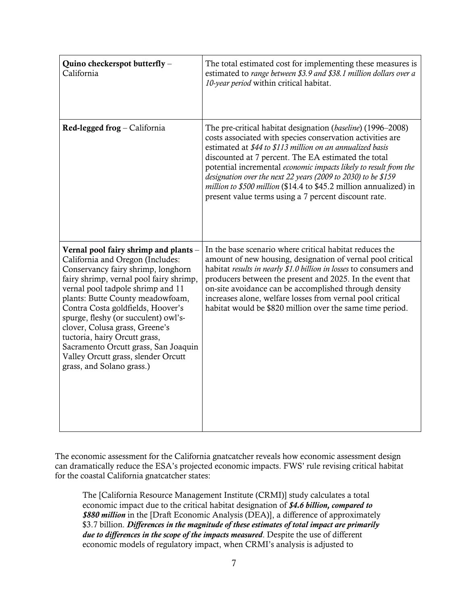| Quino checkerspot butterfly -<br>California                                                                                                                                                                                                                                                                                                                                                                                                                                                     | The total estimated cost for implementing these measures is<br>estimated to range between \$3.9 and \$38.1 million dollars over a<br>10-year period within critical habitat.                                                                                                                                                                                                                                                                                                                                   |
|-------------------------------------------------------------------------------------------------------------------------------------------------------------------------------------------------------------------------------------------------------------------------------------------------------------------------------------------------------------------------------------------------------------------------------------------------------------------------------------------------|----------------------------------------------------------------------------------------------------------------------------------------------------------------------------------------------------------------------------------------------------------------------------------------------------------------------------------------------------------------------------------------------------------------------------------------------------------------------------------------------------------------|
| Red-legged frog – California                                                                                                                                                                                                                                                                                                                                                                                                                                                                    | The pre-critical habitat designation (baseline) (1996–2008)<br>costs associated with species conservation activities are<br>estimated at \$44 to \$113 million on an annualized basis<br>discounted at 7 percent. The EA estimated the total<br>potential incremental economic impacts likely to result from the<br>designation over the next 22 years (2009 to 2030) to be \$159<br>million to \$500 million (\$14.4 to \$45.2 million annualized) in<br>present value terms using a 7 percent discount rate. |
| Vernal pool fairy shrimp and plants -<br>California and Oregon (Includes:<br>Conservancy fairy shrimp, longhorn<br>fairy shrimp, vernal pool fairy shrimp,<br>vernal pool tadpole shrimp and 11<br>plants: Butte County meadowfoam,<br>Contra Costa goldfields, Hoover's<br>spurge, fleshy (or succulent) owl's-<br>clover, Colusa grass, Greene's<br>tuctoria, hairy Orcutt grass,<br>Sacramento Orcutt grass, San Joaquin<br>Valley Orcutt grass, slender Orcutt<br>grass, and Solano grass.) | In the base scenario where critical habitat reduces the<br>amount of new housing, designation of vernal pool critical<br>habitat results in nearly \$1.0 billion in losses to consumers and<br>producers between the present and 2025. In the event that<br>on-site avoidance can be accomplished through density<br>increases alone, welfare losses from vernal pool critical<br>habitat would be \$820 million over the same time period.                                                                    |

The economic assessment for the California gnatcatcher reveals how economic assessment design can dramatically reduce the ESA's projected economic impacts. FWS' rule revising critical habitat for the coastal California gnatcatcher states:

The [California Resource Management Institute (CRMI)] study calculates a total economic impact due to the critical habitat designation of *\$4.6 billion, compared to \$880 million* in the [Draft Economic Analysis (DEA)], a difference of approximately \$3.7 billion. *Differences in the magnitude of these estimates of total impact are primarily due to differences in the scope of the impacts measured*. Despite the use of different economic models of regulatory impact, when CRMI's analysis is adjusted to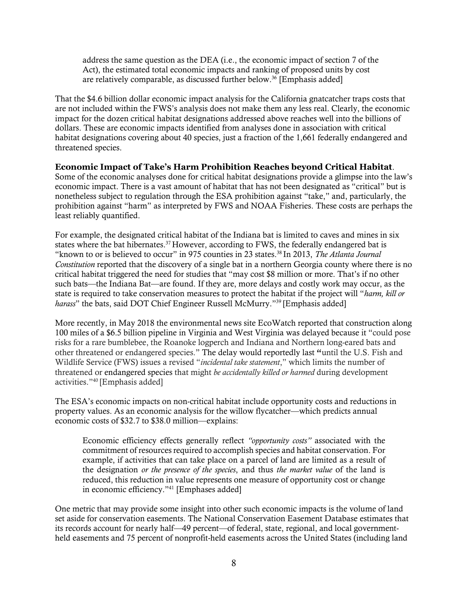address the same question as the DEA (i.e., the economic impact of section 7 of the Act), the estimated total economic impacts and ranking of proposed units by cost are relatively comparable, as discussed further below.<sup>36</sup> [Emphasis added]

That the \$4.6 billion dollar economic impact analysis for the California gnatcatcher traps costs that are not included within the FWS's analysis does not make them any less real. Clearly, the economic impact for the dozen critical habitat designations addressed above reaches well into the billions of dollars. These are economic impacts identified from analyses done in association with critical habitat designations covering about 40 species, just a fraction of the 1,661 federally endangered and threatened species.

## **Economic Impact of Take's Harm Prohibition Reaches beyond Critical Habitat**.

Some of the economic analyses done for critical habitat designations provide a glimpse into the law's economic impact. There is a vast amount of habitat that has not been designated as "critical" but is nonetheless subject to regulation through the ESA prohibition against "take," and, particularly, the prohibition against "harm" as interpreted by FWS and NOAA Fisheries. These costs are perhaps the least reliably quantified.

For example, the designated critical habitat of the Indiana bat is limited to caves and mines in six states where the bat hibernates.<sup>37</sup> However, according to FWS, the federally endangered bat is "known to or is believed to occur" in 975 counties in 23 states.<sup>38</sup> In 2013, *The Atlanta Journal Constitution* reported that the discovery of a single bat in a northern Georgia county where there is no critical habitat triggered the need for studies that "may cost \$8 million or more. That's if no other such bats—the Indiana Bat—are found. If they are, more delays and costly work may occur, as the state is required to take conservation measures to protect the habitat if the project will "*harm, kill or harass*" the bats, said DOT Chief Engineer Russell McMurry."<sup>39</sup> [Emphasis added]

More recently, in May 2018 the environmental news site EcoWatch reported that construction along 100 miles of a \$6.5 billion pipeline in Virginia and West Virginia was delayed because it "could pose risks for a rare bumblebee, the Roanoke logperch and Indiana and Northern long-eared bats and other threatened or endangered species." The delay would reportedly last "until the U.S. Fish and Wildlife Service (FWS) issues a revised "*incidental take statement*," which limits the number of threatened or endangered species that might *be accidentally killed or harmed* during development activities."<sup>40</sup> [Emphasis added]

The ESA's economic impacts on non-critical habitat include opportunity costs and reductions in property values. As an economic analysis for the willow flycatcher—which predicts annual economic costs of \$32.7 to \$38.0 million—explains:

Economic efficiency effects generally reflect *"opportunity costs"* associated with the commitment of resources required to accomplish species and habitat conservation. For example, if activities that can take place on a parcel of land are limited as a result of the designation *or the presence of the species*, and thus *the market value* of the land is reduced, this reduction in value represents one measure of opportunity cost or change in economic efficiency."<sup>41</sup> [Emphases added]

One metric that may provide some insight into other such economic impacts is the volume of land set aside for conservation easements. The National Conservation Easement Database estimates that its records account for nearly half—49 percent—of federal, state, regional, and local governmentheld easements and 75 percent of nonprofit-held easements across the United States (including land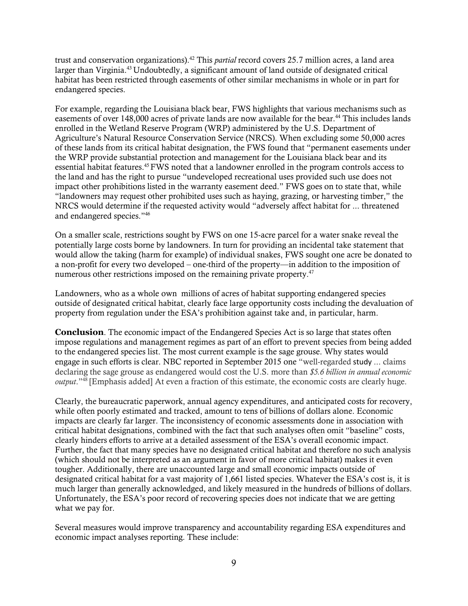trust and conservation organizations).<sup>42</sup> This *partial* record covers 25.7 million acres, a land area larger than Virginia.<sup>43</sup> Undoubtedly, a significant amount of land outside of designated critical habitat has been restricted through easements of other similar mechanisms in whole or in part for endangered species.

For example, regarding the Louisiana black bear, FWS highlights that various mechanisms such as easements of over 148,000 acres of private lands are now available for the bear.<sup>44</sup> This includes lands enrolled in the Wetland Reserve Program (WRP) administered by the U.S. Department of Agriculture's Natural Resource Conservation Service (NRCS). When excluding some 50,000 acres of these lands from its critical habitat designation, the FWS found that "permanent easements under the WRP provide substantial protection and management for the Louisiana black bear and its essential habitat features.<sup>45</sup>FWS noted that a landowner enrolled in the program controls access to the land and has the right to pursue "undeveloped recreational uses provided such use does not impact other prohibitions listed in the warranty easement deed." FWS goes on to state that, while "landowners may request other prohibited uses such as haying, grazing, or harvesting timber," the NRCS would determine if the requested activity would "adversely affect habitat for ... threatened and endangered species." 46

On a smaller scale, restrictions sought by FWS on one 15-acre parcel for a water snake reveal the potentially large costs borne by landowners. In turn for providing an incidental take statement that would allow the taking (harm for example) of individual snakes, FWS sought one acre be donated to a non-profit for every two developed – one-third of the property—in addition to the imposition of numerous other restrictions imposed on the remaining private property.<sup>47</sup>

Landowners, who as a whole own millions of acres of habitat supporting endangered species outside of designated critical habitat, clearly face large opportunity costs including the devaluation of property from regulation under the ESA's prohibition against take and, in particular, harm.

**Conclusion**. The economic impact of the Endangered Species Act is so large that states often impose regulations and management regimes as part of an effort to prevent species from being added to the endangered species list. The most current example is the sage grouse. Why states would engage in such efforts is clear. NBC reported in September 2015 one "well-regarded study ... claims declaring the sage grouse as endangered would cost the U.S. more than *\$5.6 billion in annual economic output*."<sup>48</sup> [Emphasis added] At even a fraction of this estimate, the economic costs are clearly huge.

Clearly, the bureaucratic paperwork, annual agency expenditures, and anticipated costs for recovery, while often poorly estimated and tracked, amount to tens of billions of dollars alone. Economic impacts are clearly far larger. The inconsistency of economic assessments done in association with critical habitat designations, combined with the fact that such analyses often omit "baseline" costs, clearly hinders efforts to arrive at a detailed assessment of the ESA's overall economic impact. Further, the fact that many species have no designated critical habitat and therefore no such analysis (which should not be interpreted as an argument in favor of more critical habitat) makes it even tougher. Additionally, there are unaccounted large and small economic impacts outside of designated critical habitat for a vast majority of 1,661 listed species. Whatever the ESA's cost is, it is much larger than generally acknowledged, and likely measured in the hundreds of billions of dollars. Unfortunately, the ESA's poor record of recovering species does not indicate that we are getting what we pay for.

Several measures would improve transparency and accountability regarding ESA expenditures and economic impact analyses reporting. These include: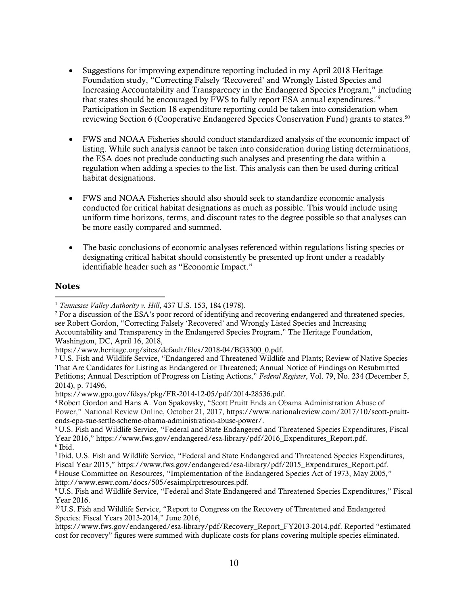- Suggestions for improving expenditure reporting included in my April 2018 Heritage Foundation study, "Correcting Falsely 'Recovered' and Wrongly Listed Species and Increasing Accountability and Transparency in the Endangered Species Program," including that states should be encouraged by FWS to fully report ESA annual expenditures.<sup>49</sup> Participation in Section 18 expenditure reporting could be taken into consideration when reviewing Section 6 (Cooperative Endangered Species Conservation Fund) grants to states.<sup>50</sup>
- FWS and NOAA Fisheries should conduct standardized analysis of the economic impact of listing. While such analysis cannot be taken into consideration during listing determinations, the ESA does not preclude conducting such analyses and presenting the data within a regulation when adding a species to the list. This analysis can then be used during critical habitat designations.
- FWS and NOAA Fisheries should also should seek to standardize economic analysis conducted for critical habitat designations as much as possible. This would include using uniform time horizons, terms, and discount rates to the degree possible so that analyses can be more easily compared and summed.
- The basic conclusions of economic analyses referenced within regulations listing species or designating critical habitat should consistently be presented up front under a readably identifiable header such as "Economic Impact."

## **Notes**

 $\overline{\phantom{a}}$ 

<sup>8</sup> House Committee on Resources, "Implementation of the Endangered Species Act of 1973, May 2005," [http://www.eswr.com/docs/505/esaimplrprtresources.pdf.](http://www.eswr.com/docs/505/esaimplrprtresources.pdf)

<sup>1</sup> *Tennessee Valley Authority v. Hill*, 437 U.S. 153, 184 (1978).

 $2$  For a discussion of the ESA's poor record of identifying and recovering endangered and threatened species, see Robert Gordon, "Correcting Falsely 'Recovered' and Wrongly Listed Species and Increasing Accountability and Transparency in the Endangered Species Program," The Heritage Foundation, Washington, DC, April 16, 2018,

[https://www.heritage.org/sites/default/files/2018-04/BG3300\\_0.pdf.](https://www.heritage.org/sites/default/files/2018-04/BG3300_0.pdf)

<sup>3</sup> U.S. Fish and Wildlife Service, "Endangered and Threatened Wildlife and Plants; Review of Native Species That Are Candidates for Listing as Endangered or Threatened; Annual Notice of Findings on Resubmitted Petitions; Annual Description of Progress on Listing Actions," *Federal Register*, Vol. 79, No. 234 (December 5, 2014), p. 71496,

https://www.gpo.gov/fdsys/pkg/FR-2014-12-05/pdf/2014-28536.pdf.

<sup>4</sup> Robert Gordon and Hans A. Von Spakovsky, "Scott Pruitt Ends an Obama Administration Abuse of Power," National Review Online, October 21, 2017, https://www.nationalreview.com/2017/10/scott-pruittends-epa-sue-settle-scheme-obama-administration-abuse-power/.

<sup>5</sup> U.S. Fish and Wildlife Service, "Federal and State Endangered and Threatened Species Expenditures, Fiscal Year 2016," https://www.fws.gov/endangered/esa-library/pdf/2016\_Expenditures\_Report.pdf. 6 Ibid.

<sup>7</sup> Ibid. U.S. Fish and Wildlife Service, "Federal and State Endangered and Threatened Species Expenditures, Fiscal Year 2015," https://www.fws.gov/endangered/esa-library/pdf/2015\_Expenditures\_Report.pdf.

<sup>9</sup> U.S. Fish and Wildlife Service, "Federal and State Endangered and Threatened Species Expenditures," Fiscal Year 2016.

<sup>&</sup>lt;sup>10</sup> U.S. Fish and Wildlife Service, "Report to Congress on the Recovery of Threatened and Endangered Species: Fiscal Years 2013-2014," June 2016,

[https://www.fws.gov/endangered/esa-library/pdf/Recovery\\_Report\\_FY2013-2014.pdf](https://www.fws.gov/endangered/esa-library/pdf/Recovery_Report_FY2013-2014.pdf). Reported "estimated cost for recovery" figures were summed with duplicate costs for plans covering multiple species eliminated.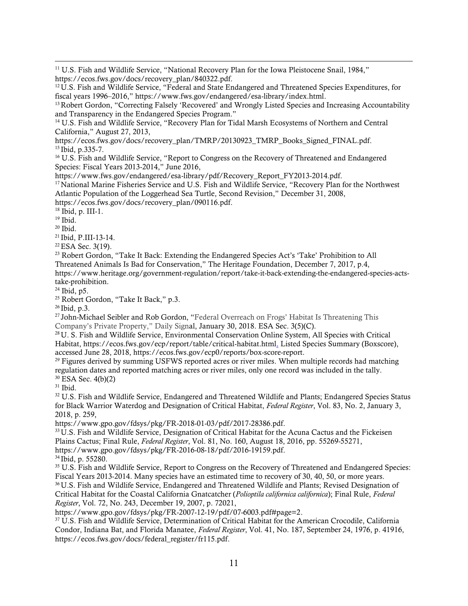$\overline{a}$  $11$  U.S. Fish and Wildlife Service, "National Recovery Plan for the Iowa Pleistocene Snail, 1984," [https://ecos.fws.gov/docs/recovery\\_plan/840322.pdf.](https://ecos.fws.gov/docs/recovery_plan/840322.pdf)

<sup>12</sup> U.S. Fish and Wildlife Service, "Federal and State Endangered and Threatened Species Expenditures, for fiscal years 1996–2016," [https://www.fws.gov/endangered/esa-library/index.html.](https://www.fws.gov/endangered/esa-library/index.html)

<sup>13</sup> Robert Gordon, "Correcting Falsely 'Recovered' and Wrongly Listed Species and Increasing Accountability and Transparency in the Endangered Species Program."

<sup>14</sup> U.S. Fish and Wildlife Service, "Recovery Plan for Tidal Marsh Ecosystems of Northern and Central California," August 27, 2013,

[https://ecos.fws.gov/docs/recovery\\_plan/TMRP/20130923\\_TMRP\\_Books\\_Signed\\_FINAL.pdf.](https://ecos.fws.gov/docs/recovery_plan/TMRP/20130923_TMRP_Books_Signed_FINAL.pdf) <sup>15</sup> Ibid, p.335-7.

<sup>16</sup> U.S. Fish and Wildlife Service, "Report to Congress on the Recovery of Threatened and Endangered Species: Fiscal Years 2013-2014," June 2016,

[https://www.fws.gov/endangered/esa-library/pdf/Recovery\\_Report\\_FY2013-2014.pdf.](https://www.fws.gov/endangered/esa-library/pdf/Recovery_Report_FY2013-2014.pdf)

<sup>17</sup> National Marine Fisheries Service and U.S. Fish and Wildlife Service, "Recovery Plan for the Northwest Atlantic Population of the Loggerhead Sea Turtle, Second Revision," December 31, 2008,

https://ecos.fws.gov/docs/recovery\_plan/090116.pdf.

<sup>18</sup> Ibid, p. III-1.

 $19$  Ibid.

 $20$  Ibid.

<sup>21</sup> Ibid, P.III-13-14.

<sup>22</sup> ESA Sec. 3(19).

<sup>23</sup> Robert Gordon, "Take It Back: Extending the Endangered Species Act's 'Take' Prohibition to All Threatened Animals Is Bad for Conservation," The Heritage Foundation, December 7, 2017, p.4, [https://www.heritage.org/government-regulation/report/take-it-back-extending-the-endangered-species-acts](https://www.heritage.org/government-regulation/report/take-it-back-extending-the-endangered-species-acts-take-prohibition)[take-prohibition.](https://www.heritage.org/government-regulation/report/take-it-back-extending-the-endangered-species-acts-take-prohibition)

<sup>24</sup> Ibid, p5.

<sup>25</sup> Robert Gordon, "Take It Back," p.3.

 $^{26}$  Ibid, p.3.

<sup>27</sup> John-Michael Seibler and Rob Gordon, "Federal Overreach on Frogs' Habitat Is Threatening This Company's Private Property," Daily Signal, January 30, 2018. ESA Sec. 3(5)(C).

<sup>28</sup> U. S. Fish and Wildlife Service, Environmental Conservation Online System, All Species with Critical Habitat, [https://ecos.fws.gov/ecp/report/table/critical-habitat.html.](https://ecos.fws.gov/ecp/report/table/critical-habitat.html) Listed Species Summary (Boxscore), accessed June 28, 2018, [https://ecos.fws.gov/ecp0/reports/box-score-report.](https://ecos.fws.gov/ecp0/reports/box-score-report)

 $29$  Figures derived by summing USFWS reported acres or river miles. When multiple records had matching regulation dates and reported matching acres or river miles, only one record was included in the tally. <sup>30</sup> ESA Sec. 4(b)(2)

 $31$  Ibid.

<sup>32</sup> U.S. Fish and Wildlife Service, Endangered and Threatened Wildlife and Plants; Endangered Species Status for Black Warrior Waterdog and Designation of Critical Habitat, *Federal Register*, Vol. 83, No. 2, January 3, 2018, p. 259,

[https://www.gpo.gov/fdsys/pkg/FR-2018-01-03/pdf/2017-28386.pdf.](https://www.gpo.gov/fdsys/pkg/FR-2018-01-03/pdf/2017-28386.pdf)

<sup>33</sup> U.S. Fish and Wildlife Service, Designation of Critical Habitat for the Acuna Cactus and the Fickeisen Plains Cactus; Final Rule, *Federal Register*, Vol. 81, No. 160, August 18, 2016, pp. 55269-55271, [https://www.gpo.gov/fdsys/pkg/FR-2016-08-18/pdf/2016-19159.pdf.](https://www.gpo.gov/fdsys/pkg/FR-2016-08-18/pdf/2016-19159.pdf)

<sup>34</sup> Ibid, p. 55280.

<sup>35</sup> U.S. Fish and Wildlife Service, Report to Congress on the Recovery of Threatened and Endangered Species: Fiscal Years 2013-2014. Many species have an estimated time to recovery of 30, 40, 50, or more years. <sup>36</sup> U.S. Fish and Wildlife Service, Endangered and Threatened Wildlife and Plants; Revised Designation of Critical Habitat for the Coastal California Gnatcatcher (*Polioptila californica californica*); Final Rule, *Federal Register*, Vol. 72, No. 243, December 19, 2007, p. 72021,

[https://www.gpo.gov/fdsys/pkg/FR-2007-12-19/pdf/07-6003.pdf#page=2.](https://www.gpo.gov/fdsys/pkg/FR-2007-12-19/pdf/07-6003.pdf#page=2)

<sup>37</sup> U.S. Fish and Wildlife Service, Determination of Critical Habitat for the American Crocodile, California Condor, Indiana Bat, and Florida Manatee, *Federal Register*, Vol. 41, No. 187, September 24, 1976, p. 41916, [https://ecos.fws.gov/docs/federal\\_register/fr115.pdf.](https://ecos.fws.gov/docs/federal_register/fr115.pdf)